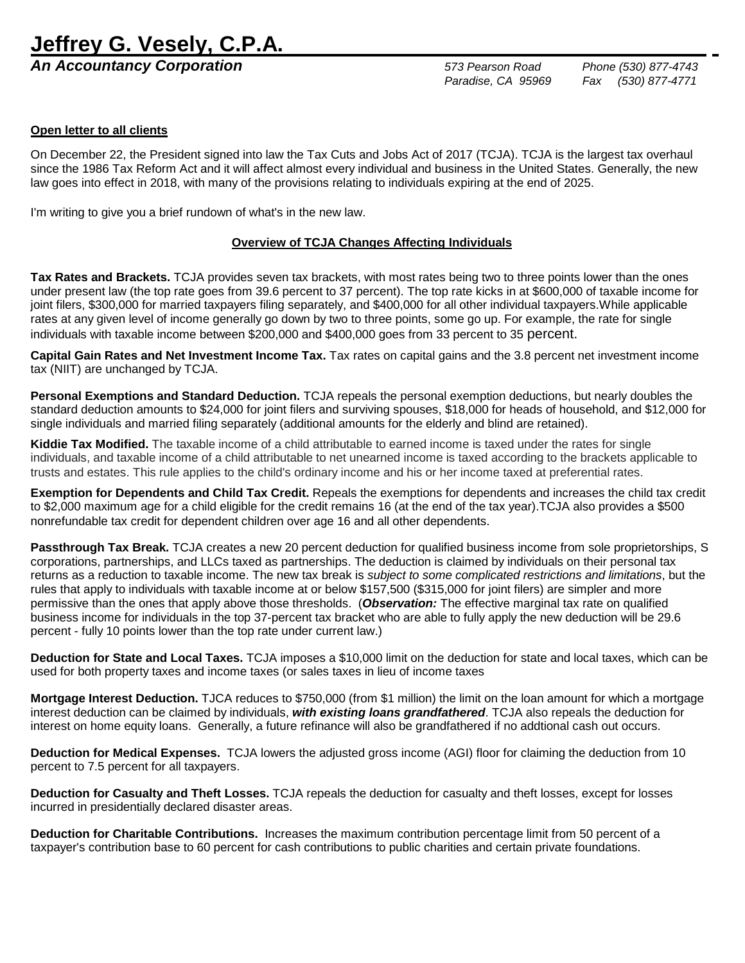## **Jeffrey G. Vesely, C.P.A.**

*An Accountancy Corporation 573 Pearson Road Phone (530) 877-4743*

 *Paradise, CA 95969 Fax (530) 877-4771*

## **Open letter to all clients**

On December 22, the President signed into law the Tax Cuts and Jobs Act of 2017 (TCJA). TCJA is the largest tax overhaul since the 1986 Tax Reform Act and it will affect almost every individual and business in the United States. Generally, the new law goes into effect in 2018, with many of the provisions relating to individuals expiring at the end of 2025.

I'm writing to give you a brief rundown of what's in the new law.

#### **Overview of TCJA Changes Affecting Individuals**

**Tax Rates and Brackets.** TCJA provides seven tax brackets, with most rates being two to three points lower than the ones under present law (the top rate goes from 39.6 percent to 37 percent). The top rate kicks in at \$600,000 of taxable income for joint filers, \$300,000 for married taxpayers filing separately, and \$400,000 for all other individual taxpayers.While applicable rates at any given level of income generally go down by two to three points, some go up. For example, the rate for single individuals with taxable income between \$200,000 and \$400,000 goes from 33 percent to 35 percent.

**Capital Gain Rates and Net Investment Income Tax.** Tax rates on capital gains and the 3.8 percent net investment income tax (NIIT) are unchanged by TCJA.

**Personal Exemptions and Standard Deduction.** TCJA repeals the personal exemption deductions, but nearly doubles the standard deduction amounts to \$24,000 for joint filers and surviving spouses, \$18,000 for heads of household, and \$12,000 for single individuals and married filing separately (additional amounts for the elderly and blind are retained).

**Kiddie Tax Modified.** The taxable income of a child attributable to earned income is taxed under the rates for single individuals, and taxable income of a child attributable to net unearned income is taxed according to the brackets applicable to trusts and estates. This rule applies to the child's ordinary income and his or her income taxed at preferential rates.

**Exemption for Dependents and Child Tax Credit.** Repeals the exemptions for dependents and increases the child tax credit to \$2,000 maximum age for a child eligible for the credit remains 16 (at the end of the tax year).TCJA also provides a \$500 nonrefundable tax credit for dependent children over age 16 and all other dependents.

**Passthrough Tax Break.** TCJA creates a new 20 percent deduction for qualified business income from sole proprietorships, S corporations, partnerships, and LLCs taxed as partnerships. The deduction is claimed by individuals on their personal tax returns as a reduction to taxable income. The new tax break is *subject to some complicated restrictions and limitations*, but the rules that apply to individuals with taxable income at or below \$157,500 (\$315,000 for joint filers) are simpler and more permissive than the ones that apply above those thresholds. (*Observation:* The effective marginal tax rate on qualified business income for individuals in the top 37-percent tax bracket who are able to fully apply the new deduction will be 29.6 percent - fully 10 points lower than the top rate under current law.)

**Deduction for State and Local Taxes.** TCJA imposes a \$10,000 limit on the deduction for state and local taxes, which can be used for both property taxes and income taxes (or sales taxes in lieu of income taxes

**Mortgage Interest Deduction.** TJCA reduces to \$750,000 (from \$1 million) the limit on the loan amount for which a mortgage interest deduction can be claimed by individuals, *with existing loans grandfathered*. TCJA also repeals the deduction for interest on home equity loans. Generally, a future refinance will also be grandfathered if no addtional cash out occurs.

**Deduction for Medical Expenses.** TCJA lowers the adjusted gross income (AGI) floor for claiming the deduction from 10 percent to 7.5 percent for all taxpayers.

**Deduction for Casualty and Theft Losses.** TCJA repeals the deduction for casualty and theft losses, except for losses incurred in presidentially declared disaster areas.

**Deduction for Charitable Contributions.** Increases the maximum contribution percentage limit from 50 percent of a taxpayer's contribution base to 60 percent for cash contributions to public charities and certain private foundations.